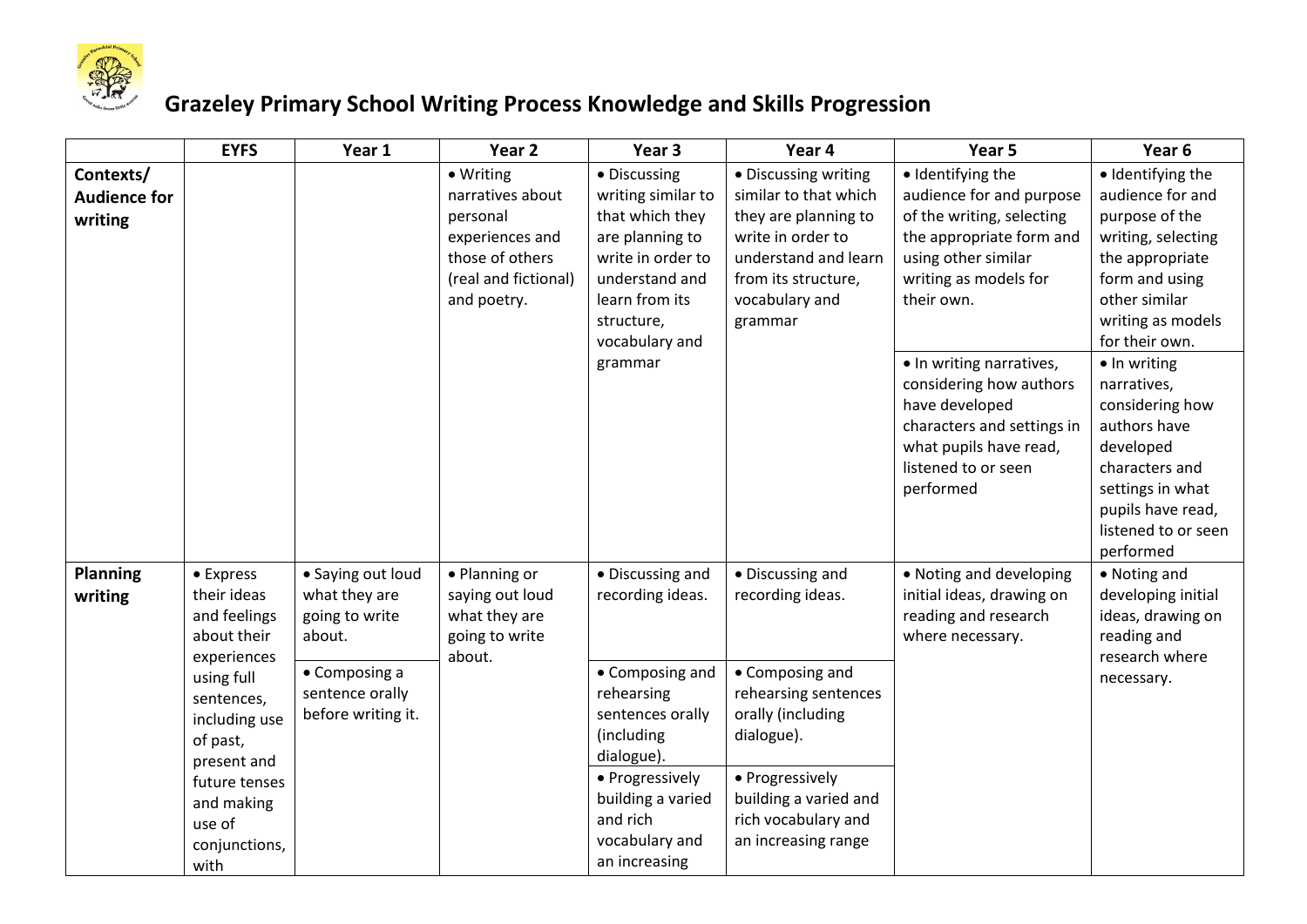

## **Grazeley Primary School Writing Process Knowledge and Skills Progression**

|                                             | <b>EYFS</b>                                                            | Year 1                                                         | Year <sub>2</sub>                                                                                                      | Year 3                                                                                                                                                                       | Year 4                                                                                                                                                                 | Year 5                                                                                                                                                                                                                                        | Year <sub>6</sub>                                                                                                                                                                                                            |
|---------------------------------------------|------------------------------------------------------------------------|----------------------------------------------------------------|------------------------------------------------------------------------------------------------------------------------|------------------------------------------------------------------------------------------------------------------------------------------------------------------------------|------------------------------------------------------------------------------------------------------------------------------------------------------------------------|-----------------------------------------------------------------------------------------------------------------------------------------------------------------------------------------------------------------------------------------------|------------------------------------------------------------------------------------------------------------------------------------------------------------------------------------------------------------------------------|
| Contexts/<br><b>Audience for</b><br>writing |                                                                        |                                                                | • Writing<br>narratives about<br>personal<br>experiences and<br>those of others<br>(real and fictional)<br>and poetry. | • Discussing<br>writing similar to<br>that which they<br>are planning to<br>write in order to<br>understand and<br>learn from its<br>structure,<br>vocabulary and<br>grammar | • Discussing writing<br>similar to that which<br>they are planning to<br>write in order to<br>understand and learn<br>from its structure,<br>vocabulary and<br>grammar | · Identifying the<br>audience for and purpose<br>of the writing, selecting<br>the appropriate form and<br>using other similar<br>writing as models for<br>their own.<br>• In writing narratives,<br>considering how authors<br>have developed | · Identifying the<br>audience for and<br>purpose of the<br>writing, selecting<br>the appropriate<br>form and using<br>other similar<br>writing as models<br>for their own.<br>• In writing<br>narratives,<br>considering how |
|                                             |                                                                        |                                                                |                                                                                                                        |                                                                                                                                                                              |                                                                                                                                                                        | characters and settings in<br>what pupils have read,<br>listened to or seen<br>performed                                                                                                                                                      | authors have<br>developed<br>characters and<br>settings in what<br>pupils have read,<br>listened to or seen<br>performed                                                                                                     |
| <b>Planning</b><br>writing                  | • Express<br>their ideas<br>and feelings<br>about their<br>experiences | • Saying out loud<br>what they are<br>going to write<br>about. | • Planning or<br>saying out loud<br>what they are<br>going to write<br>about.                                          | • Discussing and<br>recording ideas.                                                                                                                                         | • Discussing and<br>recording ideas.                                                                                                                                   | • Noting and developing<br>initial ideas, drawing on<br>reading and research<br>where necessary.                                                                                                                                              | • Noting and<br>developing initial<br>ideas, drawing on<br>reading and<br>research where                                                                                                                                     |
|                                             | using full<br>sentences,<br>including use<br>of past,<br>present and   | • Composing a<br>sentence orally<br>before writing it.         |                                                                                                                        | • Composing and<br>rehearsing<br>sentences orally<br>(including<br>dialogue).                                                                                                | • Composing and<br>rehearsing sentences<br>orally (including<br>dialogue).                                                                                             |                                                                                                                                                                                                                                               | necessary.                                                                                                                                                                                                                   |
|                                             | future tenses<br>and making<br>use of<br>conjunctions,<br>with         |                                                                |                                                                                                                        | • Progressively<br>building a varied<br>and rich<br>vocabulary and<br>an increasing                                                                                          | • Progressively<br>building a varied and<br>rich vocabulary and<br>an increasing range                                                                                 |                                                                                                                                                                                                                                               |                                                                                                                                                                                                                              |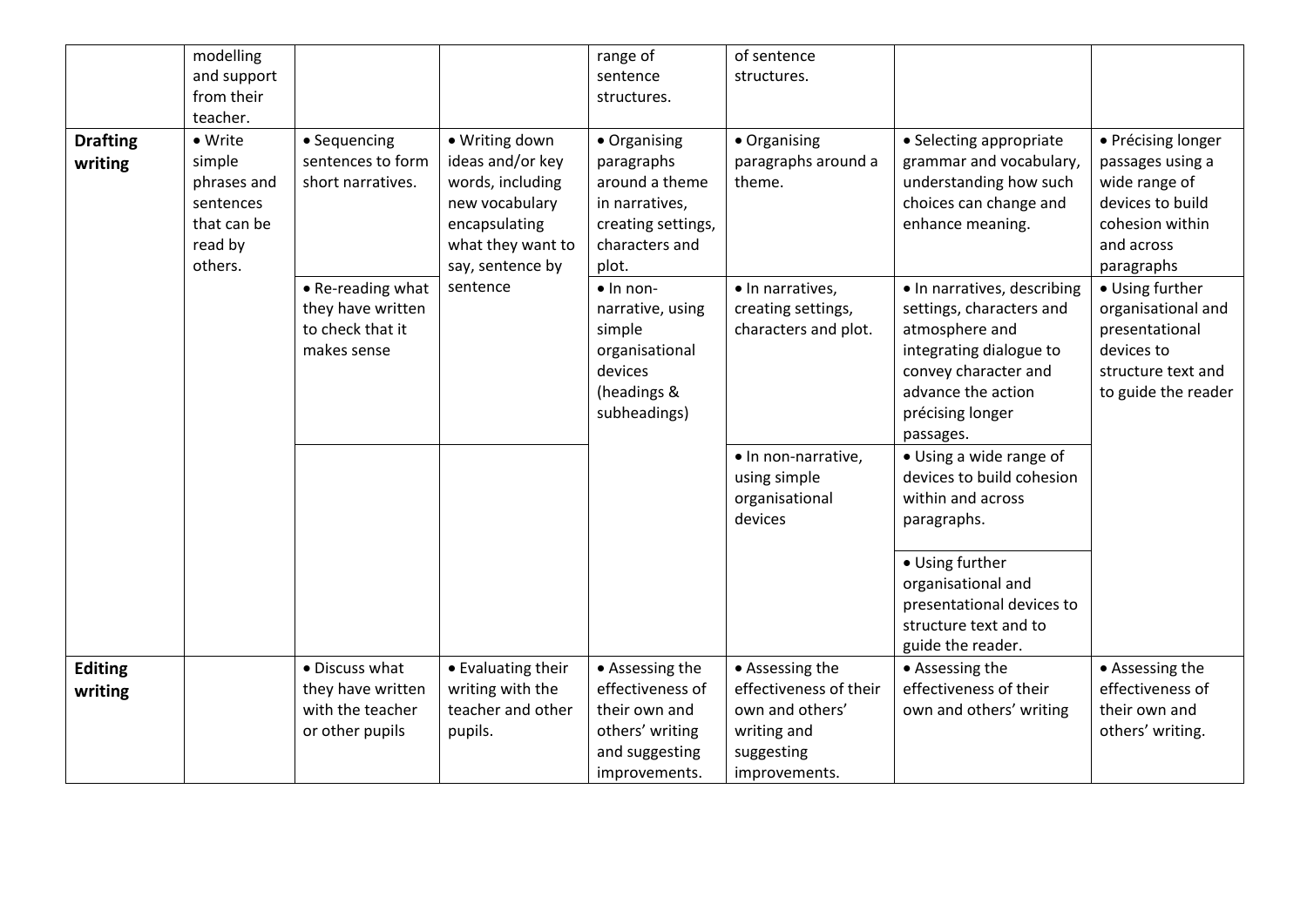|                            | modelling                                                                          |                                                                                                  |                                                                                                                                                | range of                                                                                                                                                 | of sentence                                                                             |                                                                                                                                                                                       |                                                                                                                                                                     |
|----------------------------|------------------------------------------------------------------------------------|--------------------------------------------------------------------------------------------------|------------------------------------------------------------------------------------------------------------------------------------------------|----------------------------------------------------------------------------------------------------------------------------------------------------------|-----------------------------------------------------------------------------------------|---------------------------------------------------------------------------------------------------------------------------------------------------------------------------------------|---------------------------------------------------------------------------------------------------------------------------------------------------------------------|
|                            | and support                                                                        |                                                                                                  |                                                                                                                                                | sentence                                                                                                                                                 | structures.                                                                             |                                                                                                                                                                                       |                                                                                                                                                                     |
|                            | from their                                                                         |                                                                                                  |                                                                                                                                                | structures.                                                                                                                                              |                                                                                         |                                                                                                                                                                                       |                                                                                                                                                                     |
|                            | teacher.                                                                           |                                                                                                  |                                                                                                                                                |                                                                                                                                                          |                                                                                         |                                                                                                                                                                                       |                                                                                                                                                                     |
| <b>Drafting</b><br>writing | • Write<br>simple<br>phrases and<br>sentences<br>that can be<br>read by<br>others. | • Sequencing<br>sentences to form<br>short narratives.<br>• Re-reading what<br>they have written | · Writing down<br>ideas and/or key<br>words, including<br>new vocabulary<br>encapsulating<br>what they want to<br>say, sentence by<br>sentence | • Organising<br>paragraphs<br>around a theme<br>in narratives,<br>creating settings,<br>characters and<br>plot.<br>$\bullet$ In non-<br>narrative, using | • Organising<br>paragraphs around a<br>theme.<br>· In narratives,<br>creating settings, | • Selecting appropriate<br>grammar and vocabulary,<br>understanding how such<br>choices can change and<br>enhance meaning.<br>· In narratives, describing<br>settings, characters and | • Précising longer<br>passages using a<br>wide range of<br>devices to build<br>cohesion within<br>and across<br>paragraphs<br>• Using further<br>organisational and |
|                            |                                                                                    | to check that it<br>makes sense                                                                  |                                                                                                                                                | simple<br>organisational<br>devices<br>(headings &<br>subheadings)                                                                                       | characters and plot.                                                                    | atmosphere and<br>integrating dialogue to<br>convey character and<br>advance the action<br>précising longer<br>passages.                                                              | presentational<br>devices to<br>structure text and<br>to guide the reader                                                                                           |
|                            |                                                                                    |                                                                                                  |                                                                                                                                                |                                                                                                                                                          | · In non-narrative,<br>using simple<br>organisational<br>devices                        | • Using a wide range of<br>devices to build cohesion<br>within and across<br>paragraphs.                                                                                              |                                                                                                                                                                     |
|                            |                                                                                    |                                                                                                  |                                                                                                                                                |                                                                                                                                                          |                                                                                         | • Using further<br>organisational and<br>presentational devices to<br>structure text and to<br>guide the reader.                                                                      |                                                                                                                                                                     |
| <b>Editing</b>             |                                                                                    | • Discuss what                                                                                   | • Evaluating their                                                                                                                             | • Assessing the                                                                                                                                          | • Assessing the                                                                         | • Assessing the                                                                                                                                                                       | • Assessing the                                                                                                                                                     |
| writing                    |                                                                                    | they have written                                                                                | writing with the                                                                                                                               | effectiveness of                                                                                                                                         | effectiveness of their                                                                  | effectiveness of their                                                                                                                                                                | effectiveness of                                                                                                                                                    |
|                            |                                                                                    | with the teacher                                                                                 | teacher and other                                                                                                                              | their own and                                                                                                                                            | own and others'                                                                         | own and others' writing                                                                                                                                                               | their own and                                                                                                                                                       |
|                            |                                                                                    | or other pupils                                                                                  | pupils.                                                                                                                                        | others' writing                                                                                                                                          | writing and                                                                             |                                                                                                                                                                                       | others' writing.                                                                                                                                                    |
|                            |                                                                                    |                                                                                                  |                                                                                                                                                | and suggesting                                                                                                                                           | suggesting                                                                              |                                                                                                                                                                                       |                                                                                                                                                                     |
|                            |                                                                                    |                                                                                                  |                                                                                                                                                | improvements.                                                                                                                                            | improvements.                                                                           |                                                                                                                                                                                       |                                                                                                                                                                     |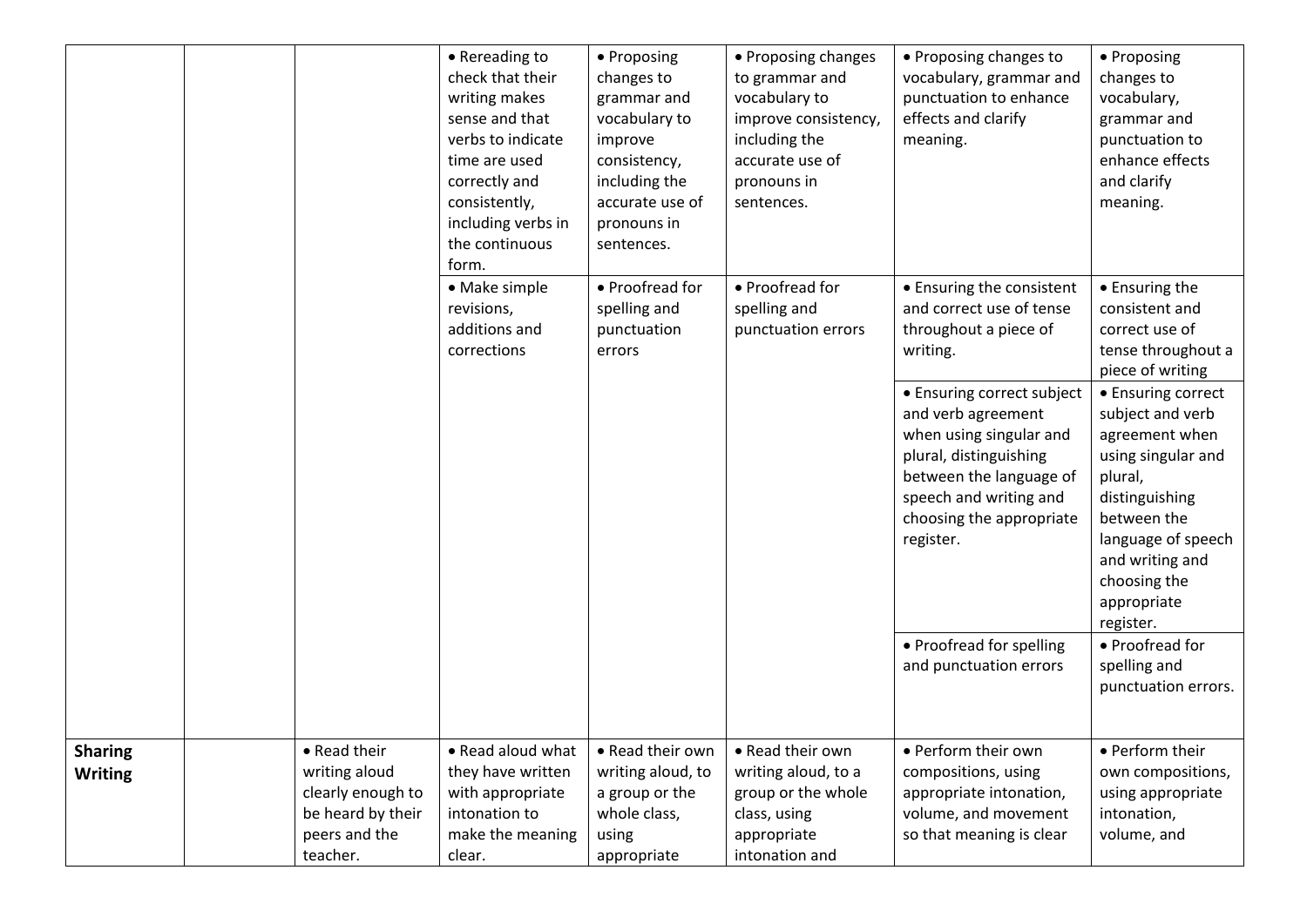|                                  |                                                                                                      | • Rereading to<br>check that their<br>writing makes<br>sense and that<br>verbs to indicate<br>time are used<br>correctly and<br>consistently,<br>including verbs in<br>the continuous<br>form. | • Proposing<br>changes to<br>grammar and<br>vocabulary to<br>improve<br>consistency,<br>including the<br>accurate use of<br>pronouns in<br>sentences. | • Proposing changes<br>to grammar and<br>vocabulary to<br>improve consistency,<br>including the<br>accurate use of<br>pronouns in<br>sentences. | • Proposing changes to<br>vocabulary, grammar and<br>punctuation to enhance<br>effects and clarify<br>meaning.                                                                                                                                           | • Proposing<br>changes to<br>vocabulary,<br>grammar and<br>punctuation to<br>enhance effects<br>and clarify<br>meaning.                                                                                                    |
|----------------------------------|------------------------------------------------------------------------------------------------------|------------------------------------------------------------------------------------------------------------------------------------------------------------------------------------------------|-------------------------------------------------------------------------------------------------------------------------------------------------------|-------------------------------------------------------------------------------------------------------------------------------------------------|----------------------------------------------------------------------------------------------------------------------------------------------------------------------------------------------------------------------------------------------------------|----------------------------------------------------------------------------------------------------------------------------------------------------------------------------------------------------------------------------|
|                                  |                                                                                                      | • Make simple<br>revisions,<br>additions and<br>corrections                                                                                                                                    | • Proofread for<br>spelling and<br>punctuation<br>errors                                                                                              | • Proofread for<br>spelling and<br>punctuation errors                                                                                           | • Ensuring the consistent<br>and correct use of tense<br>throughout a piece of<br>writing.<br>• Ensuring correct subject<br>and verb agreement<br>when using singular and<br>plural, distinguishing<br>between the language of<br>speech and writing and | • Ensuring the<br>consistent and<br>correct use of<br>tense throughout a<br>piece of writing<br>• Ensuring correct<br>subject and verb<br>agreement when<br>using singular and<br>plural,<br>distinguishing<br>between the |
|                                  |                                                                                                      |                                                                                                                                                                                                |                                                                                                                                                       |                                                                                                                                                 | choosing the appropriate<br>register.<br>• Proofread for spelling<br>and punctuation errors                                                                                                                                                              | language of speech<br>and writing and<br>choosing the<br>appropriate<br>register.<br>• Proofread for<br>spelling and<br>punctuation errors.                                                                                |
| <b>Sharing</b><br><b>Writing</b> | • Read their<br>writing aloud<br>clearly enough to<br>be heard by their<br>peers and the<br>teacher. | • Read aloud what<br>they have written<br>with appropriate<br>intonation to<br>make the meaning<br>clear.                                                                                      | • Read their own<br>writing aloud, to<br>a group or the<br>whole class,<br>using<br>appropriate                                                       | • Read their own<br>writing aloud, to a<br>group or the whole<br>class, using<br>appropriate<br>intonation and                                  | • Perform their own<br>compositions, using<br>appropriate intonation,<br>volume, and movement<br>so that meaning is clear                                                                                                                                | • Perform their<br>own compositions,<br>using appropriate<br>intonation,<br>volume, and                                                                                                                                    |